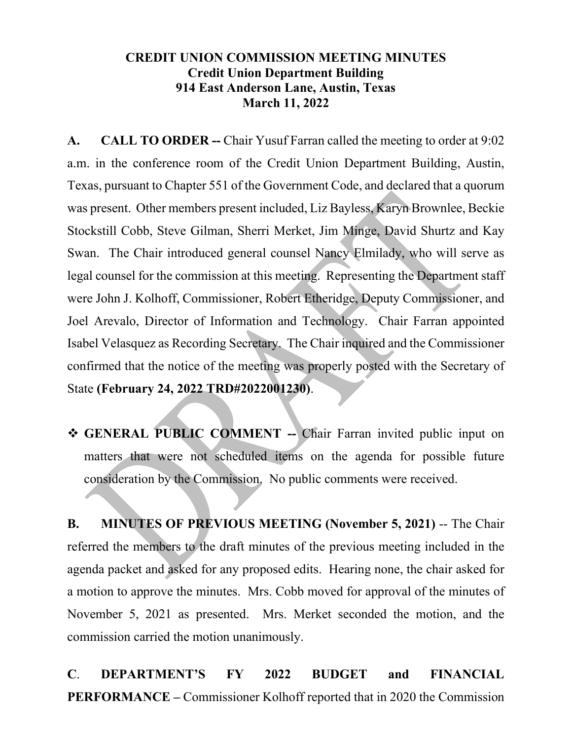## **CREDIT UNION COMMISSION MEETING MINUTES Credit Union Department Building 914 East Anderson Lane, Austin, Texas March 11, 2022**

**A. CALL TO ORDER --** Chair Yusuf Farran called the meeting to order at 9:02 a.m. in the conference room of the Credit Union Department Building, Austin, Texas, pursuant to Chapter 551 of the Government Code, and declared that a quorum was present. Other members present included, Liz Bayless, Karyn Brownlee, Beckie Stockstill Cobb, Steve Gilman, Sherri Merket, Jim Minge, David Shurtz and Kay Swan. The Chair introduced general counsel Nancy Elmilady, who will serve as legal counsel for the commission at this meeting. Representing the Department staff were John J. Kolhoff, Commissioner, Robert Etheridge, Deputy Commissioner, and Joel Arevalo, Director of Information and Technology. Chair Farran appointed Isabel Velasquez as Recording Secretary. The Chair inquired and the Commissioner confirmed that the notice of the meeting was properly posted with the Secretary of State **(February 24, 2022 TRD#2022001230)**.

 **GENERAL PUBLIC COMMENT --** Chair Farran invited public input on matters that were not scheduled items on the agenda for possible future consideration by the Commission. No public comments were received.

**B. MINUTES OF PREVIOUS MEETING (November 5, 2021)** -- The Chair referred the members to the draft minutes of the previous meeting included in the agenda packet and asked for any proposed edits. Hearing none, the chair asked for a motion to approve the minutes. Mrs. Cobb moved for approval of the minutes of November 5, 2021 as presented. Mrs. Merket seconded the motion, and the commission carried the motion unanimously.

**C**. **DEPARTMENT'S FY 2022 BUDGET and FINANCIAL PERFORMANCE –** Commissioner Kolhoff reported that in 2020 the Commission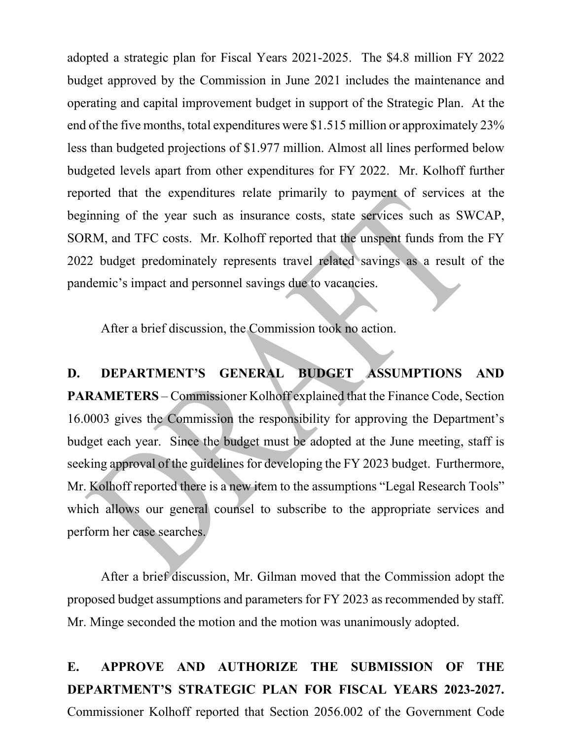adopted a strategic plan for Fiscal Years 2021-2025. The \$4.8 million FY 2022 budget approved by the Commission in June 2021 includes the maintenance and operating and capital improvement budget in support of the Strategic Plan. At the end of the five months, total expenditures were \$1.515 million or approximately 23% less than budgeted projections of \$1.977 million. Almost all lines performed below budgeted levels apart from other expenditures for FY 2022. Mr. Kolhoff further reported that the expenditures relate primarily to payment of services at the beginning of the year such as insurance costs, state services such as SWCAP, SORM, and TFC costs. Mr. Kolhoff reported that the unspent funds from the FY 2022 budget predominately represents travel related savings as a result of the pandemic's impact and personnel savings due to vacancies.

After a brief discussion, the Commission took no action.

**D. DEPARTMENT'S GENERAL BUDGET ASSUMPTIONS AND PARAMETERS** – Commissioner Kolhoff explained that the Finance Code, Section 16.0003 gives the Commission the responsibility for approving the Department's budget each year. Since the budget must be adopted at the June meeting, staff is seeking approval of the guidelines for developing the FY 2023 budget. Furthermore, Mr. Kolhoff reported there is a new item to the assumptions "Legal Research Tools" which allows our general counsel to subscribe to the appropriate services and perform her case searches.

After a brief discussion, Mr. Gilman moved that the Commission adopt the proposed budget assumptions and parameters for FY 2023 as recommended by staff. Mr. Minge seconded the motion and the motion was unanimously adopted.

**E. APPROVE AND AUTHORIZE THE SUBMISSION OF THE DEPARTMENT'S STRATEGIC PLAN FOR FISCAL YEARS 2023-2027.**  Commissioner Kolhoff reported that Section 2056.002 of the Government Code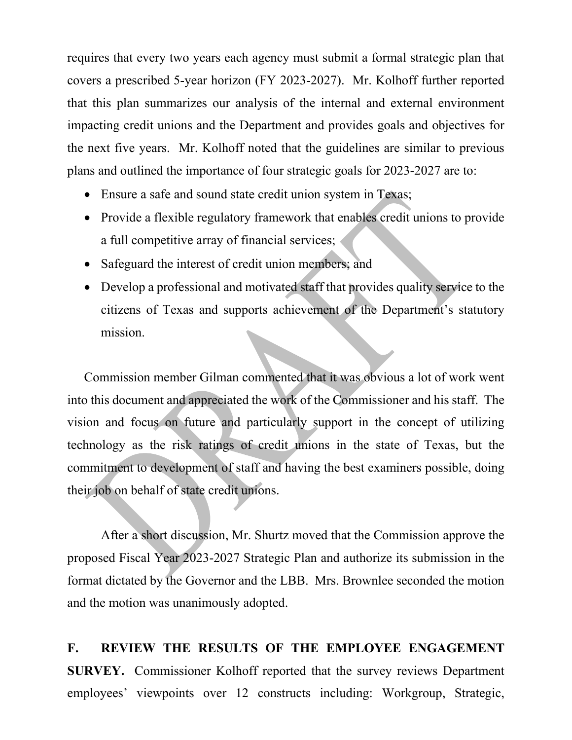requires that every two years each agency must submit a formal strategic plan that covers a prescribed 5-year horizon (FY 2023-2027). Mr. Kolhoff further reported that this plan summarizes our analysis of the internal and external environment impacting credit unions and the Department and provides goals and objectives for the next five years. Mr. Kolhoff noted that the guidelines are similar to previous plans and outlined the importance of four strategic goals for 2023-2027 are to:

- Ensure a safe and sound state credit union system in Texas;
- Provide a flexible regulatory framework that enables credit unions to provide a full competitive array of financial services;
- Safeguard the interest of credit union members; and
- Develop a professional and motivated staff that provides quality service to the citizens of Texas and supports achievement of the Department's statutory mission.

Commission member Gilman commented that it was obvious a lot of work went into this document and appreciated the work of the Commissioner and his staff. The vision and focus on future and particularly support in the concept of utilizing technology as the risk ratings of credit unions in the state of Texas, but the commitment to development of staff and having the best examiners possible, doing their job on behalf of state credit unions.

After a short discussion, Mr. Shurtz moved that the Commission approve the proposed Fiscal Year 2023-2027 Strategic Plan and authorize its submission in the format dictated by the Governor and the LBB. Mrs. Brownlee seconded the motion and the motion was unanimously adopted.

**F. REVIEW THE RESULTS OF THE EMPLOYEE ENGAGEMENT SURVEY.** Commissioner Kolhoff reported that the survey reviews Department employees' viewpoints over 12 constructs including: Workgroup, Strategic,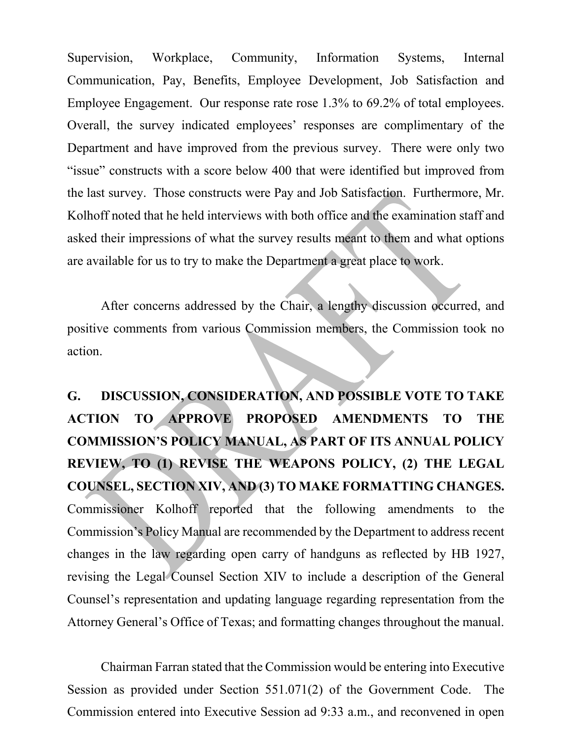Supervision, Workplace, Community, Information Systems, Internal Communication, Pay, Benefits, Employee Development, Job Satisfaction and Employee Engagement. Our response rate rose 1.3% to 69.2% of total employees. Overall, the survey indicated employees' responses are complimentary of the Department and have improved from the previous survey. There were only two "issue" constructs with a score below 400 that were identified but improved from the last survey. Those constructs were Pay and Job Satisfaction. Furthermore, Mr. Kolhoff noted that he held interviews with both office and the examination staff and asked their impressions of what the survey results meant to them and what options are available for us to try to make the Department a great place to work.

After concerns addressed by the Chair, a lengthy discussion occurred, and positive comments from various Commission members, the Commission took no action.

**G. DISCUSSION, CONSIDERATION, AND POSSIBLE VOTE TO TAKE ACTION TO APPROVE PROPOSED AMENDMENTS TO THE COMMISSION'S POLICY MANUAL, AS PART OF ITS ANNUAL POLICY REVIEW, TO (1) REVISE THE WEAPONS POLICY, (2) THE LEGAL COUNSEL, SECTION XIV, AND (3) TO MAKE FORMATTING CHANGES.**  Commissioner Kolhoff reported that the following amendments to the Commission's Policy Manual are recommended by the Department to address recent changes in the law regarding open carry of handguns as reflected by HB 1927, revising the Legal Counsel Section XIV to include a description of the General Counsel's representation and updating language regarding representation from the Attorney General's Office of Texas; and formatting changes throughout the manual.

Chairman Farran stated that the Commission would be entering into Executive Session as provided under Section 551.071(2) of the Government Code. The Commission entered into Executive Session ad 9:33 a.m., and reconvened in open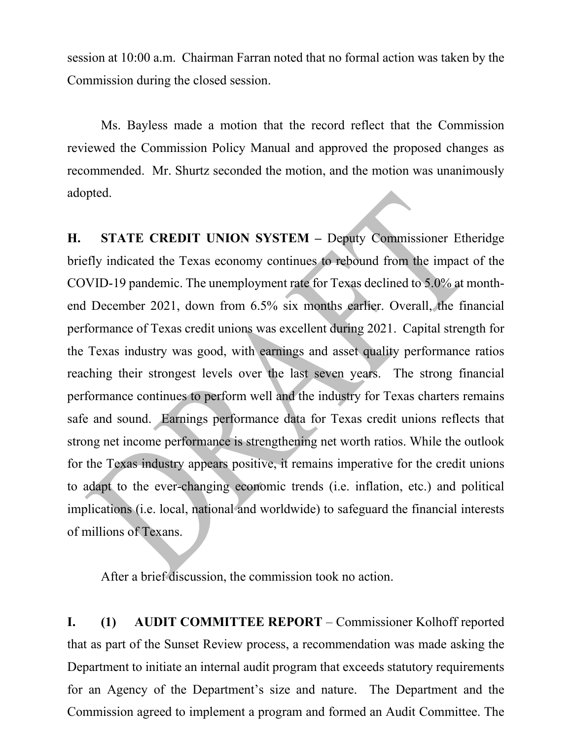session at 10:00 a.m. Chairman Farran noted that no formal action was taken by the Commission during the closed session.

Ms. Bayless made a motion that the record reflect that the Commission reviewed the Commission Policy Manual and approved the proposed changes as recommended. Mr. Shurtz seconded the motion, and the motion was unanimously adopted.

**H. STATE CREDIT UNION SYSTEM –** Deputy Commissioner Etheridge briefly indicated the Texas economy continues to rebound from the impact of the COVID-19 pandemic. The unemployment rate for Texas declined to 5.0% at monthend December 2021, down from 6.5% six months earlier. Overall, the financial performance of Texas credit unions was excellent during 2021. Capital strength for the Texas industry was good, with earnings and asset quality performance ratios reaching their strongest levels over the last seven years. The strong financial performance continues to perform well and the industry for Texas charters remains safe and sound. Earnings performance data for Texas credit unions reflects that strong net income performance is strengthening net worth ratios. While the outlook for the Texas industry appears positive, it remains imperative for the credit unions to adapt to the ever-changing economic trends (i.e. inflation, etc.) and political implications (i.e. local, national and worldwide) to safeguard the financial interests of millions of Texans.

After a brief discussion, the commission took no action.

**I. (1) AUDIT COMMITTEE REPORT** – Commissioner Kolhoff reported that as part of the Sunset Review process, a recommendation was made asking the Department to initiate an internal audit program that exceeds statutory requirements for an Agency of the Department's size and nature. The Department and the Commission agreed to implement a program and formed an Audit Committee. The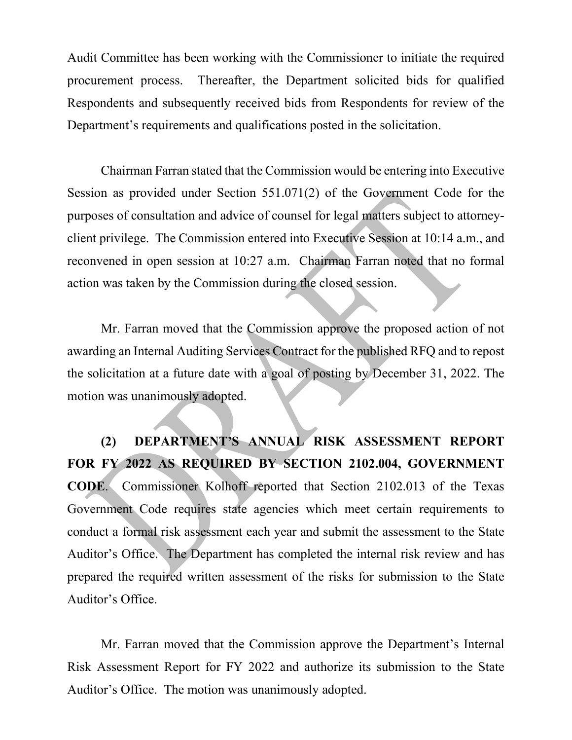Audit Committee has been working with the Commissioner to initiate the required procurement process. Thereafter, the Department solicited bids for qualified Respondents and subsequently received bids from Respondents for review of the Department's requirements and qualifications posted in the solicitation.

Chairman Farran stated that the Commission would be entering into Executive Session as provided under Section 551.071(2) of the Government Code for the purposes of consultation and advice of counsel for legal matters subject to attorneyclient privilege. The Commission entered into Executive Session at 10:14 a.m., and reconvened in open session at 10:27 a.m. Chairman Farran noted that no formal action was taken by the Commission during the closed session.

Mr. Farran moved that the Commission approve the proposed action of not awarding an Internal Auditing Services Contract for the published RFQ and to repost the solicitation at a future date with a goal of posting by December 31, 2022. The motion was unanimously adopted.

**(2) DEPARTMENT'S ANNUAL RISK ASSESSMENT REPORT FOR FY 2022 AS REQUIRED BY SECTION 2102.004, GOVERNMENT CODE**. Commissioner Kolhoff reported that Section 2102.013 of the Texas Government Code requires state agencies which meet certain requirements to conduct a formal risk assessment each year and submit the assessment to the State Auditor's Office. The Department has completed the internal risk review and has prepared the required written assessment of the risks for submission to the State Auditor's Office.

Mr. Farran moved that the Commission approve the Department's Internal Risk Assessment Report for FY 2022 and authorize its submission to the State Auditor's Office. The motion was unanimously adopted.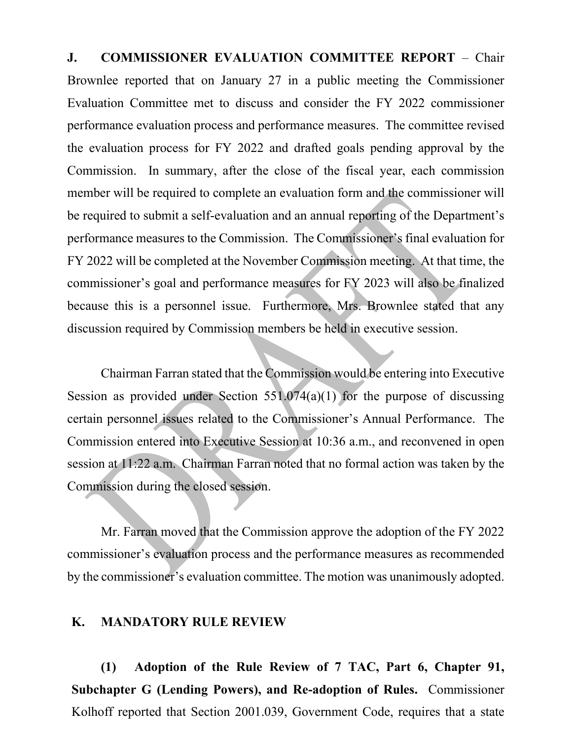**J. COMMISSIONER EVALUATION COMMITTEE REPORT** – Chair Brownlee reported that on January 27 in a public meeting the Commissioner Evaluation Committee met to discuss and consider the FY 2022 commissioner performance evaluation process and performance measures. The committee revised the evaluation process for FY 2022 and drafted goals pending approval by the Commission. In summary, after the close of the fiscal year, each commission member will be required to complete an evaluation form and the commissioner will be required to submit a self-evaluation and an annual reporting of the Department's performance measures to the Commission. The Commissioner's final evaluation for FY 2022 will be completed at the November Commission meeting. At that time, the commissioner's goal and performance measures for FY 2023 will also be finalized because this is a personnel issue. Furthermore, Mrs. Brownlee stated that any discussion required by Commission members be held in executive session.

Chairman Farran stated that the Commission would be entering into Executive Session as provided under Section  $551.074(a)(1)$  for the purpose of discussing certain personnel issues related to the Commissioner's Annual Performance. The Commission entered into Executive Session at 10:36 a.m., and reconvened in open session at 11:22 a.m. Chairman Farran noted that no formal action was taken by the Commission during the closed session.

Mr. Farran moved that the Commission approve the adoption of the FY 2022 commissioner's evaluation process and the performance measures as recommended by the commissioner's evaluation committee. The motion was unanimously adopted.

## **K. MANDATORY RULE REVIEW**

**(1) Adoption of the Rule Review of 7 TAC, Part 6, Chapter 91, Subchapter G (Lending Powers), and Re-adoption of Rules.** Commissioner Kolhoff reported that Section 2001.039, Government Code, requires that a state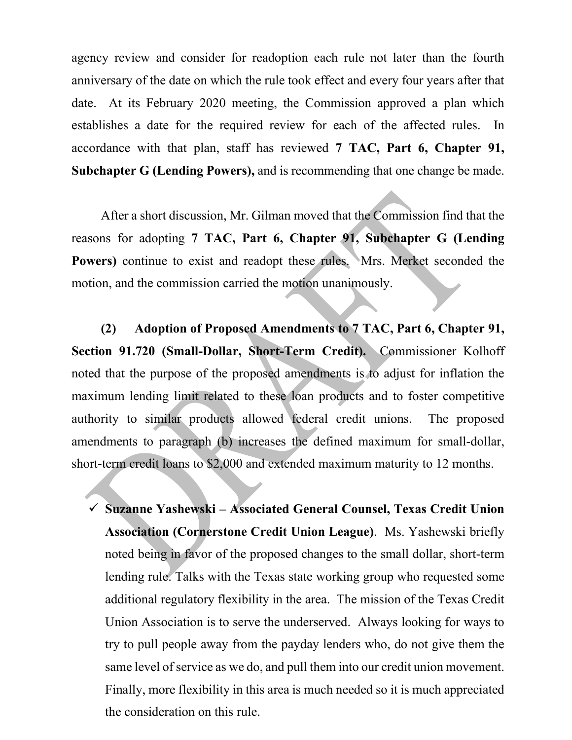agency review and consider for readoption each rule not later than the fourth anniversary of the date on which the rule took effect and every four years after that date. At its February 2020 meeting, the Commission approved a plan which establishes a date for the required review for each of the affected rules. In accordance with that plan, staff has reviewed **7 TAC, Part 6, Chapter 91, Subchapter G (Lending Powers),** and is recommending that one change be made.

After a short discussion, Mr. Gilman moved that the Commission find that the reasons for adopting **7 TAC, Part 6, Chapter 91, Subchapter G (Lending**  Powers) continue to exist and readopt these rules. Mrs. Merket seconded the motion, and the commission carried the motion unanimously.

**(2) Adoption of Proposed Amendments to 7 TAC, Part 6, Chapter 91, Section 91.720 (Small-Dollar, Short-Term Credit).** Commissioner Kolhoff noted that the purpose of the proposed amendments is to adjust for inflation the maximum lending limit related to these loan products and to foster competitive authority to similar products allowed federal credit unions. The proposed amendments to paragraph (b) increases the defined maximum for small-dollar, short-term credit loans to \$2,000 and extended maximum maturity to 12 months.

 **Suzanne Yashewski – Associated General Counsel, Texas Credit Union Association (Cornerstone Credit Union League)**. Ms. Yashewski briefly noted being in favor of the proposed changes to the small dollar, short-term lending rule. Talks with the Texas state working group who requested some additional regulatory flexibility in the area. The mission of the Texas Credit Union Association is to serve the underserved. Always looking for ways to try to pull people away from the payday lenders who, do not give them the same level of service as we do, and pull them into our credit union movement. Finally, more flexibility in this area is much needed so it is much appreciated the consideration on this rule.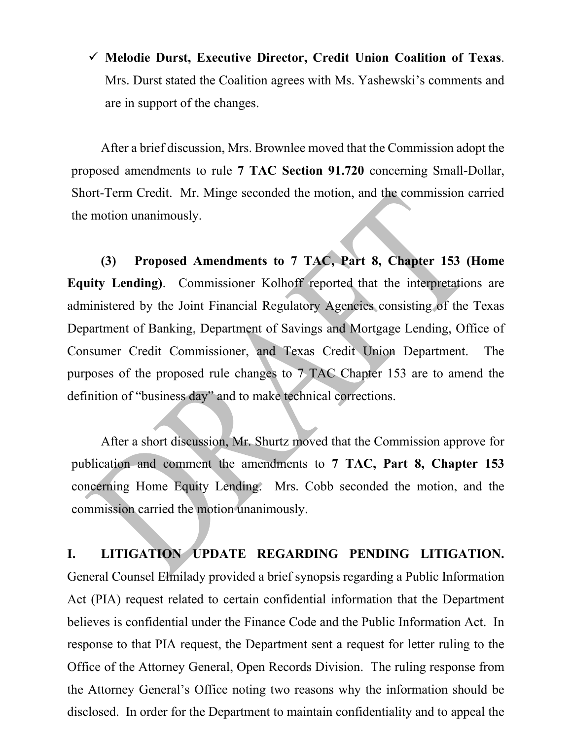**Melodie Durst, Executive Director, Credit Union Coalition of Texas**. Mrs. Durst stated the Coalition agrees with Ms. Yashewski's comments and are in support of the changes.

After a brief discussion, Mrs. Brownlee moved that the Commission adopt the proposed amendments to rule **7 TAC Section 91.720** concerning Small-Dollar, Short-Term Credit. Mr. Minge seconded the motion, and the commission carried the motion unanimously.

**(3) Proposed Amendments to 7 TAC, Part 8, Chapter 153 (Home Equity Lending)**. Commissioner Kolhoff reported that the interpretations are administered by the Joint Financial Regulatory Agencies consisting of the Texas Department of Banking, Department of Savings and Mortgage Lending, Office of Consumer Credit Commissioner, and Texas Credit Union Department. The purposes of the proposed rule changes to 7 TAC Chapter 153 are to amend the definition of "business day" and to make technical corrections.

After a short discussion, Mr. Shurtz moved that the Commission approve for publication and comment the amendments to **7 TAC, Part 8, Chapter 153**  concerning Home Equity Lending. Mrs. Cobb seconded the motion, and the commission carried the motion unanimously.

**I. LITIGATION UPDATE REGARDING PENDING LITIGATION.**  General Counsel Elmilady provided a brief synopsis regarding a Public Information Act (PIA) request related to certain confidential information that the Department believes is confidential under the Finance Code and the Public Information Act. In response to that PIA request, the Department sent a request for letter ruling to the Office of the Attorney General, Open Records Division. The ruling response from the Attorney General's Office noting two reasons why the information should be disclosed. In order for the Department to maintain confidentiality and to appeal the